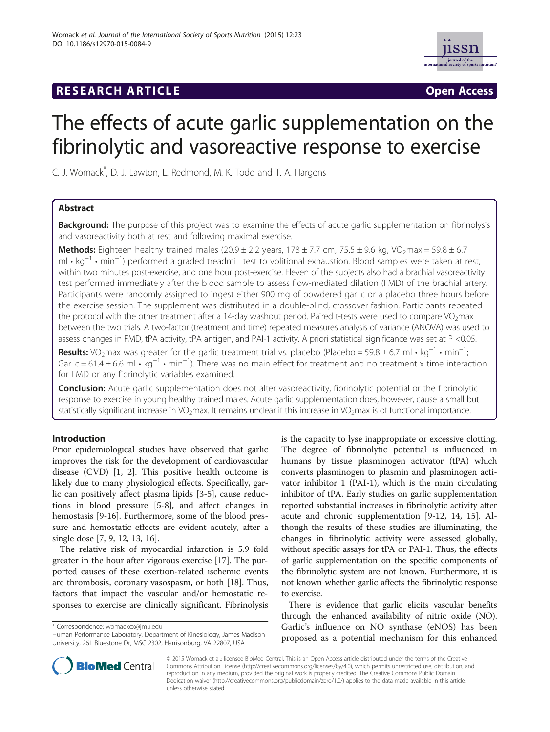# **RESEARCH ARTICLE Example 2018 12:00 Department of the CONNECTION CONNECTION CONNECTION CONNECTION**



# The effects of acute garlic supplementation on the fibrinolytic and vasoreactive response to exercise

C. J. Womack\* , D. J. Lawton, L. Redmond, M. K. Todd and T. A. Hargens

# Abstract

Background: The purpose of this project was to examine the effects of acute garlic supplementation on fibrinolysis and vasoreactivity both at rest and following maximal exercise.

Methods: Eighteen healthy trained males  $(20.9 \pm 2.2 \text{ years}, 178 \pm 7.7 \text{ cm}, 75.5 \pm 9.6 \text{ kg}, \text{VO-} \text{max} = 59.8 \pm 6.7 \text{ m}$ ml • kg−<sup>1</sup> • min−<sup>1</sup> ) performed a graded treadmill test to volitional exhaustion. Blood samples were taken at rest, within two minutes post-exercise, and one hour post-exercise. Eleven of the subjects also had a brachial vasoreactivity test performed immediately after the blood sample to assess flow-mediated dilation (FMD) of the brachial artery. Participants were randomly assigned to ingest either 900 mg of powdered garlic or a placebo three hours before the exercise session. The supplement was distributed in a double-blind, crossover fashion. Participants repeated the protocol with the other treatment after a 14-day washout period. Paired t-tests were used to compare VO<sub>2</sub>max between the two trials. A two-factor (treatment and time) repeated measures analysis of variance (ANOVA) was used to assess changes in FMD, tPA activity, tPA antigen, and PAI-1 activity. A priori statistical significance was set at P <0.05.

**Results:** VO<sub>2</sub>max was greater for the garlic treatment trial vs. placebo (Placebo = 59.8 ± 6.7 ml • kg<sup>-1</sup> • min<sup>-1</sup>; ; Garlic = 61.4 ± 6.6 ml • kg<sup>-1</sup> • min<sup>-1</sup>). There was no main effect for treatment and no treatment x time interaction for FMD or any fibrinolytic variables examined.

Conclusion: Acute garlic supplementation does not alter vasoreactivity, fibrinolytic potential or the fibrinolytic response to exercise in young healthy trained males. Acute garlic supplementation does, however, cause a small but statistically significant increase in VO<sub>2</sub>max. It remains unclear if this increase in VO<sub>2</sub>max is of functional importance.

# Introduction

Prior epidemiological studies have observed that garlic improves the risk for the development of cardiovascular disease (CVD) [[1, 2](#page-6-0)]. This positive health outcome is likely due to many physiological effects. Specifically, garlic can positively affect plasma lipids [[3-5](#page-6-0)], cause reductions in blood pressure [[5-8](#page-6-0)], and affect changes in hemostasis [[9-16\]](#page-6-0). Furthermore, some of the blood pressure and hemostatic effects are evident acutely, after a single dose [[7, 9, 12](#page-6-0), [13](#page-6-0), [16](#page-6-0)].

The relative risk of myocardial infarction is 5.9 fold greater in the hour after vigorous exercise [[17](#page-6-0)]. The purported causes of these exertion-related ischemic events are thrombosis, coronary vasospasm, or both [[18\]](#page-6-0). Thus, factors that impact the vascular and/or hemostatic responses to exercise are clinically significant. Fibrinolysis

\* Correspondence: [womackcx@jmu.edu](mailto:womackcx@jmu.edu)

Human Performance Laboratory, Department of Kinesiology, James Madison University, 261 Bluestone Dr, MSC 2302, Harrisonburg, VA 22807, USA



There is evidence that garlic elicits vascular benefits through the enhanced availability of nitric oxide (NO). Garlic's influence on NO synthase (eNOS) has been proposed as a potential mechanism for this enhanced



© 2015 Womack et al.; licensee BioMed Central. This is an Open Access article distributed under the terms of the Creative Commons Attribution License [\(http://creativecommons.org/licenses/by/4.0\)](http://creativecommons.org/licenses/by/4.0), which permits unrestricted use, distribution, and reproduction in any medium, provided the original work is properly credited. The Creative Commons Public Domain Dedication waiver [\(http://creativecommons.org/publicdomain/zero/1.0/](http://creativecommons.org/publicdomain/zero/1.0/)) applies to the data made available in this article, unless otherwise stated.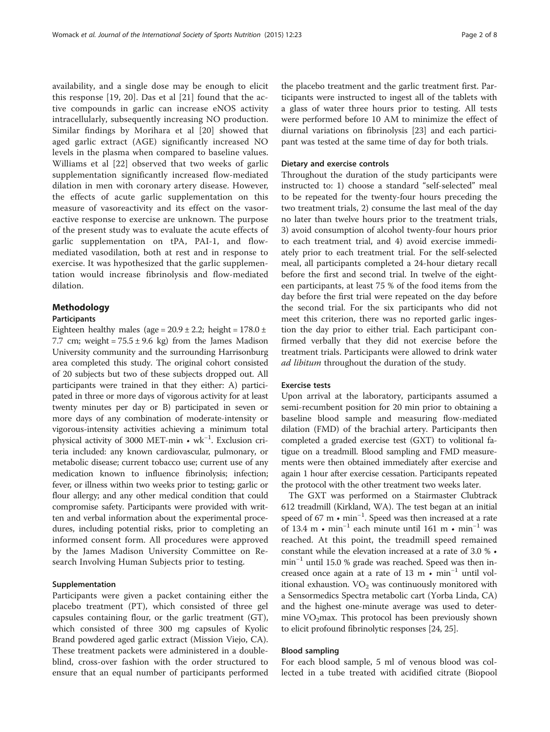availability, and a single dose may be enough to elicit this response [[19, 20](#page-6-0)]. Das et al [[21](#page-6-0)] found that the active compounds in garlic can increase eNOS activity intracellularly, subsequently increasing NO production. Similar findings by Morihara et al [[20\]](#page-6-0) showed that aged garlic extract (AGE) significantly increased NO levels in the plasma when compared to baseline values. Williams et al [[22\]](#page-6-0) observed that two weeks of garlic supplementation significantly increased flow-mediated dilation in men with coronary artery disease. However, the effects of acute garlic supplementation on this measure of vasoreactivity and its effect on the vasoreactive response to exercise are unknown. The purpose of the present study was to evaluate the acute effects of garlic supplementation on tPA, PAI-1, and flowmediated vasodilation, both at rest and in response to exercise. It was hypothesized that the garlic supplementation would increase fibrinolysis and flow-mediated dilation.

# Methodology

#### Participants

Eighteen healthy males (age =  $20.9 \pm 2.2$ ; height =  $178.0 \pm 1.2$ 7.7 cm; weight =  $75.5 \pm 9.6$  kg) from the James Madison University community and the surrounding Harrisonburg area completed this study. The original cohort consisted of 20 subjects but two of these subjects dropped out. All participants were trained in that they either: A) participated in three or more days of vigorous activity for at least twenty minutes per day or B) participated in seven or more days of any combination of moderate-intensity or vigorous-intensity activities achieving a minimum total physical activity of 3000 MET-min • wk−<sup>1</sup> . Exclusion criteria included: any known cardiovascular, pulmonary, or metabolic disease; current tobacco use; current use of any medication known to influence fibrinolysis; infection; fever, or illness within two weeks prior to testing; garlic or flour allergy; and any other medical condition that could compromise safety. Participants were provided with written and verbal information about the experimental procedures, including potential risks, prior to completing an informed consent form. All procedures were approved by the James Madison University Committee on Research Involving Human Subjects prior to testing.

#### Supplementation

Participants were given a packet containing either the placebo treatment (PT), which consisted of three gel capsules containing flour, or the garlic treatment (GT), which consisted of three 300 mg capsules of Kyolic Brand powdered aged garlic extract (Mission Viejo, CA). These treatment packets were administered in a doubleblind, cross-over fashion with the order structured to ensure that an equal number of participants performed the placebo treatment and the garlic treatment first. Participants were instructed to ingest all of the tablets with a glass of water three hours prior to testing. All tests were performed before 10 AM to minimize the effect of diurnal variations on fibrinolysis [\[23](#page-6-0)] and each participant was tested at the same time of day for both trials.

#### Dietary and exercise controls

Throughout the duration of the study participants were instructed to: 1) choose a standard "self-selected" meal to be repeated for the twenty-four hours preceding the two treatment trials, 2) consume the last meal of the day no later than twelve hours prior to the treatment trials, 3) avoid consumption of alcohol twenty-four hours prior to each treatment trial, and 4) avoid exercise immediately prior to each treatment trial. For the self-selected meal, all participants completed a 24-hour dietary recall before the first and second trial. In twelve of the eighteen participants, at least 75 % of the food items from the day before the first trial were repeated on the day before the second trial. For the six participants who did not meet this criterion, there was no reported garlic ingestion the day prior to either trial. Each participant confirmed verbally that they did not exercise before the treatment trials. Participants were allowed to drink water ad libitum throughout the duration of the study.

#### Exercise tests

Upon arrival at the laboratory, participants assumed a semi-recumbent position for 20 min prior to obtaining a baseline blood sample and measuring flow-mediated dilation (FMD) of the brachial artery. Participants then completed a graded exercise test (GXT) to volitional fatigue on a treadmill. Blood sampling and FMD measurements were then obtained immediately after exercise and again 1 hour after exercise cessation. Participants repeated the protocol with the other treatment two weeks later.

The GXT was performed on a Stairmaster Clubtrack 612 treadmill (Kirkland, WA). The test began at an initial speed of 67 m • min<sup>-1</sup>. Speed was then increased at a rate of 13.4 m • min<sup>-1</sup> each minute until 161 m • min<sup>-1</sup> was reached. At this point, the treadmill speed remained constant while the elevation increased at a rate of 3.0 % • min−<sup>1</sup> until 15.0 % grade was reached. Speed was then increased once again at a rate of 13 m  $\cdot$  min<sup>-1</sup> until volitional exhaustion.  $VO<sub>2</sub>$  was continuously monitored with a Sensormedics Spectra metabolic cart (Yorba Linda, CA) and the highest one-minute average was used to determine  $VO<sub>2</sub>$ max. This protocol has been previously shown to elicit profound fibrinolytic responses [\[24,](#page-6-0) [25](#page-7-0)].

#### Blood sampling

For each blood sample, 5 ml of venous blood was collected in a tube treated with acidified citrate (Biopool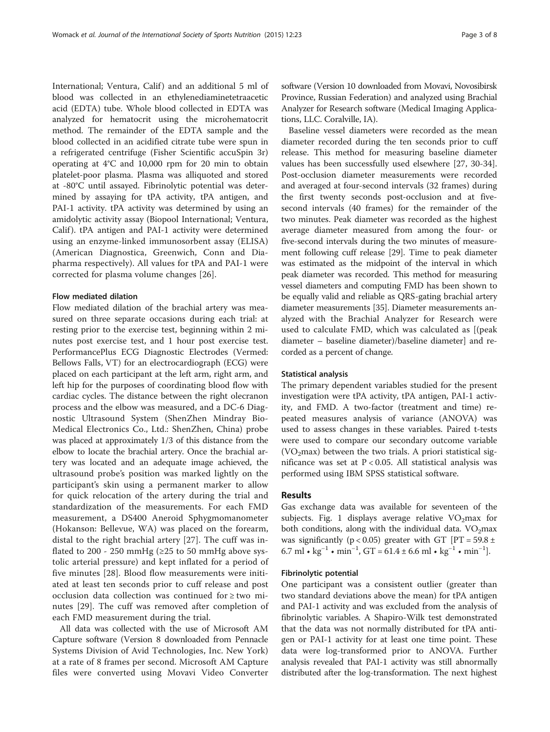International; Ventura, Calif) and an additional 5 ml of blood was collected in an ethylenediaminetetraacetic acid (EDTA) tube. Whole blood collected in EDTA was analyzed for hematocrit using the microhematocrit method. The remainder of the EDTA sample and the blood collected in an acidified citrate tube were spun in a refrigerated centrifuge (Fisher Scientific accuSpin 3r) operating at 4°C and 10,000 rpm for 20 min to obtain platelet-poor plasma. Plasma was alliquoted and stored at -80°C until assayed. Fibrinolytic potential was determined by assaying for tPA activity, tPA antigen, and PAI-1 activity. tPA activity was determined by using an amidolytic activity assay (Biopool International; Ventura, Calif). tPA antigen and PAI-1 activity were determined using an enzyme-linked immunosorbent assay (ELISA) (American Diagnostica, Greenwich, Conn and Diapharma respectively). All values for tPA and PAI-1 were corrected for plasma volume changes [[26](#page-7-0)].

# Flow mediated dilation

Flow mediated dilation of the brachial artery was measured on three separate occasions during each trial: at resting prior to the exercise test, beginning within 2 minutes post exercise test, and 1 hour post exercise test. PerformancePlus ECG Diagnostic Electrodes (Vermed: Bellows Falls, VT) for an electrocardiograph (ECG) were placed on each participant at the left arm, right arm, and left hip for the purposes of coordinating blood flow with cardiac cycles. The distance between the right olecranon process and the elbow was measured, and a DC-6 Diagnostic Ultrasound System (ShenZhen Mindray Bio-Medical Electronics Co., Ltd.: ShenZhen, China) probe was placed at approximately 1/3 of this distance from the elbow to locate the brachial artery. Once the brachial artery was located and an adequate image achieved, the ultrasound probe's position was marked lightly on the participant's skin using a permanent marker to allow for quick relocation of the artery during the trial and standardization of the measurements. For each FMD measurement, a DS400 Aneroid Sphygmomanometer (Hokanson: Bellevue, WA) was placed on the forearm, distal to the right brachial artery [[27\]](#page-7-0). The cuff was inflated to 200 - 250 mmHg ( $\geq$ 25 to 50 mmHg above systolic arterial pressure) and kept inflated for a period of five minutes [[28](#page-7-0)]. Blood flow measurements were initiated at least ten seconds prior to cuff release and post occlusion data collection was continued for ≥ two minutes [[29\]](#page-7-0). The cuff was removed after completion of each FMD measurement during the trial.

All data was collected with the use of Microsoft AM Capture software (Version 8 downloaded from Pennacle Systems Division of Avid Technologies, Inc. New York) at a rate of 8 frames per second. Microsoft AM Capture files were converted using Movavi Video Converter software (Version 10 downloaded from Movavi, Novosibirsk Province, Russian Federation) and analyzed using Brachial Analyzer for Research software (Medical Imaging Applications, LLC. Coralville, IA).

Baseline vessel diameters were recorded as the mean diameter recorded during the ten seconds prior to cuff release. This method for measuring baseline diameter values has been successfully used elsewhere [\[27](#page-7-0), [30-34](#page-7-0)]. Post-occlusion diameter measurements were recorded and averaged at four-second intervals (32 frames) during the first twenty seconds post-occlusion and at fivesecond intervals (40 frames) for the remainder of the two minutes. Peak diameter was recorded as the highest average diameter measured from among the four- or five-second intervals during the two minutes of measurement following cuff release [\[29\]](#page-7-0). Time to peak diameter was estimated as the midpoint of the interval in which peak diameter was recorded. This method for measuring vessel diameters and computing FMD has been shown to be equally valid and reliable as QRS-gating brachial artery diameter measurements [[35](#page-7-0)]. Diameter measurements analyzed with the Brachial Analyzer for Research were used to calculate FMD, which was calculated as [(peak diameter – baseline diameter)/baseline diameter] and recorded as a percent of change.

#### Statistical analysis

The primary dependent variables studied for the present investigation were tPA activity, tPA antigen, PAI-1 activity, and FMD. A two-factor (treatment and time) repeated measures analysis of variance (ANOVA) was used to assess changes in these variables. Paired t-tests were used to compare our secondary outcome variable (VO<sub>2</sub>max) between the two trials. A priori statistical significance was set at  $P < 0.05$ . All statistical analysis was performed using IBM SPSS statistical software.

# Results

Gas exchange data was available for seventeen of the subjects. Fig. [1](#page-3-0) displays average relative  $VO<sub>2</sub>$ max for both conditions, along with the individual data.  $VO<sub>2</sub>max$ was significantly ( $p < 0.05$ ) greater with GT [PT = 59.8 ± 6.7 ml •  $kg^{-1}$  • min<sup>-1</sup>, GT = 61.4 ± 6.6 ml •  $kg^{-1}$  • min<sup>-1</sup>].

#### Fibrinolytic potential

One participant was a consistent outlier (greater than two standard deviations above the mean) for tPA antigen and PAI-1 activity and was excluded from the analysis of fibrinolytic variables. A Shapiro-Wilk test demonstrated that the data was not normally distributed for tPA antigen or PAI-1 activity for at least one time point. These data were log-transformed prior to ANOVA. Further analysis revealed that PAI-1 activity was still abnormally distributed after the log-transformation. The next highest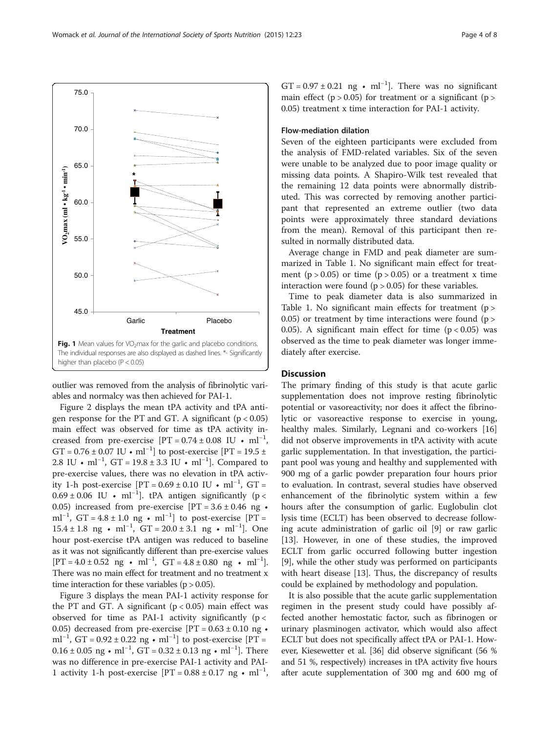outlier was removed from the analysis of fibrinolytic variables and normalcy was then achieved for PAI-1.

Figure [2](#page-4-0) displays the mean tPA activity and tPA antigen response for the PT and GT. A significant  $(p < 0.05)$ main effect was observed for time as tPA activity increased from pre-exercise  $[PT = 0.74 \pm 0.08 \text{ IU} \cdot \text{ml}^{-1}$ ,  $GT = 0.76 \pm 0.07$  IU • ml<sup>-1</sup>] to post-exercise [PT = 19.5 ± 2.8 IU • ml<sup>-1</sup>, GT = 19.8 ± 3.3 IU • ml<sup>-1</sup>]. Compared to pre-exercise values, there was no elevation in tPA activity 1-h post-exercise  $[PT = 0.69 \pm 0.10 \text{ IU} \cdot \text{ml}^{-1}, \text{ GT} =$  $0.69 \pm 0.06$  IU • ml<sup>-1</sup>]. tPA antigen significantly (p < 0.05) increased from pre-exercise  $[PT = 3.6 \pm 0.46$  ng  $\bullet$ ml<sup>-1</sup>, GT = 4.8 ± 1.0 ng • ml<sup>-1</sup>] to post-exercise [PT = 15.4 ± 1.8 ng • ml<sup>-1</sup>, GT = 20.0 ± 3.1 ng • ml<sup>-1</sup>]. One hour post-exercise tPA antigen was reduced to baseline as it was not significantly different than pre-exercise values  $[PT = 4.0 \pm 0.52 \text{ ng } \cdot \text{ ml}^{-1}$ ,  $GT = 4.8 \pm 0.80 \text{ ng } \cdot \text{ ml}^{-1}$ . There was no main effect for treatment and no treatment x time interaction for these variables ( $p > 0.05$ ).

Figure [3](#page-5-0) displays the mean PAI-1 activity response for the PT and GT. A significant  $(p < 0.05)$  main effect was observed for time as PAI-1 activity significantly ( $p <$ 0.05) decreased from pre-exercise  $[PT = 0.63 \pm 0.10$  ng  $\bullet$ ml<sup>-1</sup>, GT = 0.92 ± 0.22 ng • ml<sup>-1</sup>] to post-exercise [PT = 0.16 ± 0.05 ng • ml<sup>-1</sup>, GT = 0.32 ± 0.13 ng • ml<sup>-1</sup>]. There was no difference in pre-exercise PAI-1 activity and PAI-1 activity 1-h post-exercise  $[PT = 0.88 \pm 0.17 \text{ ng} \cdot \text{ml}^{-1}$ ,

GT =  $0.97 \pm 0.21$  ng • ml<sup>-1</sup>]. There was no significant main effect ( $p > 0.05$ ) for treatment or a significant ( $p >$ 0.05) treatment x time interaction for PAI-1 activity.

# Flow-mediation dilation

Seven of the eighteen participants were excluded from the analysis of FMD-related variables. Six of the seven were unable to be analyzed due to poor image quality or missing data points. A Shapiro-Wilk test revealed that the remaining 12 data points were abnormally distributed. This was corrected by removing another participant that represented an extreme outlier (two data points were approximately three standard deviations from the mean). Removal of this participant then resulted in normally distributed data.

Average change in FMD and peak diameter are summarized in Table [1](#page-5-0). No significant main effect for treatment ( $p > 0.05$ ) or time ( $p > 0.05$ ) or a treatment x time interaction were found  $(p > 0.05)$  for these variables.

Time to peak diameter data is also summarized in Table [1](#page-5-0). No significant main effects for treatment (p > 0.05) or treatment by time interactions were found  $(p > 0.05)$ 0.05). A significant main effect for time  $(p < 0.05)$  was observed as the time to peak diameter was longer immediately after exercise.

# **Discussion**

The primary finding of this study is that acute garlic supplementation does not improve resting fibrinolytic potential or vasoreactivity; nor does it affect the fibrinolytic or vasoreactive response to exercise in young, healthy males. Similarly, Legnani and co-workers [[16](#page-6-0)] did not observe improvements in tPA activity with acute garlic supplementation. In that investigation, the participant pool was young and healthy and supplemented with 900 mg of a garlic powder preparation four hours prior to evaluation. In contrast, several studies have observed enhancement of the fibrinolytic system within a few hours after the consumption of garlic. Euglobulin clot lysis time (ECLT) has been observed to decrease following acute administration of garlic oil [\[9](#page-6-0)] or raw garlic [[13\]](#page-6-0). However, in one of these studies, the improved ECLT from garlic occurred following butter ingestion [[9\]](#page-6-0), while the other study was performed on participants with heart disease [\[13](#page-6-0)]. Thus, the discrepancy of results could be explained by methodology and population.

It is also possible that the acute garlic supplementation regimen in the present study could have possibly affected another hemostatic factor, such as fibrinogen or urinary plasminogen activator, which would also affect ECLT but does not specifically affect tPA or PAI-1. However, Kiesewetter et al. [\[36](#page-7-0)] did observe significant (56 % and 51 %, respectively) increases in tPA activity five hours after acute supplementation of 300 mg and 600 mg of

<span id="page-3-0"></span>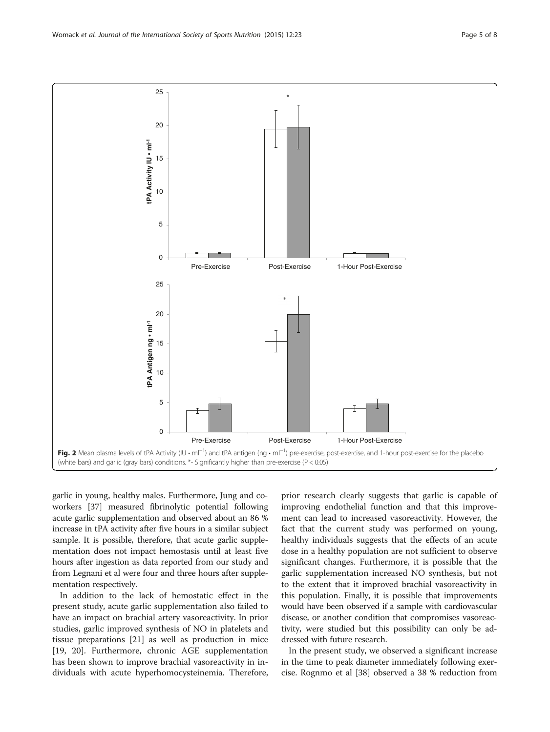<span id="page-4-0"></span>Womack et al. Journal of the International Society of Sports Nutrition (2015) 12:23



garlic in young, healthy males. Furthermore, Jung and coworkers [\[37\]](#page-7-0) measured fibrinolytic potential following acute garlic supplementation and observed about an 86 % increase in tPA activity after five hours in a similar subject sample. It is possible, therefore, that acute garlic supplementation does not impact hemostasis until at least five hours after ingestion as data reported from our study and from Legnani et al were four and three hours after supplementation respectively.

In addition to the lack of hemostatic effect in the present study, acute garlic supplementation also failed to have an impact on brachial artery vasoreactivity. In prior studies, garlic improved synthesis of NO in platelets and tissue preparations [\[21](#page-6-0)] as well as production in mice [[19, 20\]](#page-6-0). Furthermore, chronic AGE supplementation has been shown to improve brachial vasoreactivity in individuals with acute hyperhomocysteinemia. Therefore,

prior research clearly suggests that garlic is capable of improving endothelial function and that this improvement can lead to increased vasoreactivity. However, the fact that the current study was performed on young, healthy individuals suggests that the effects of an acute dose in a healthy population are not sufficient to observe significant changes. Furthermore, it is possible that the garlic supplementation increased NO synthesis, but not to the extent that it improved brachial vasoreactivity in this population. Finally, it is possible that improvements would have been observed if a sample with cardiovascular disease, or another condition that compromises vasoreactivity, were studied but this possibility can only be addressed with future research.

In the present study, we observed a significant increase in the time to peak diameter immediately following exercise. Rognmo et al [\[38\]](#page-7-0) observed a 38 % reduction from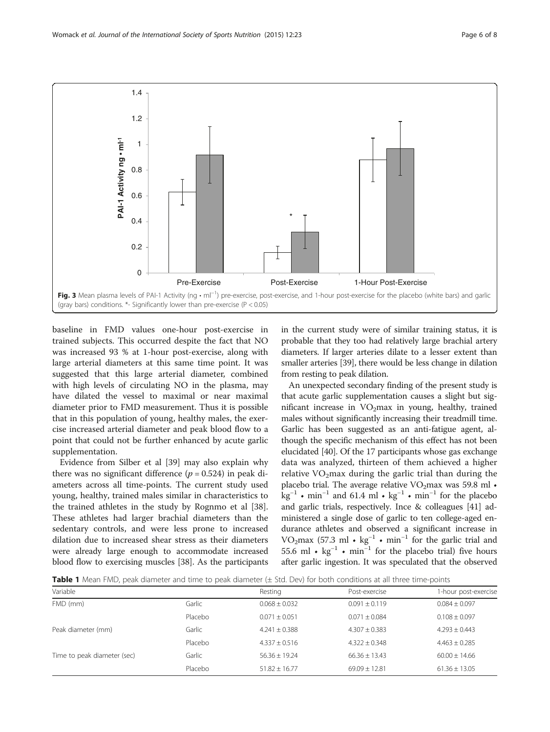<span id="page-5-0"></span>

baseline in FMD values one-hour post-exercise in trained subjects. This occurred despite the fact that NO was increased 93 % at 1-hour post-exercise, along with large arterial diameters at this same time point. It was suggested that this large arterial diameter, combined with high levels of circulating NO in the plasma, may have dilated the vessel to maximal or near maximal diameter prior to FMD measurement. Thus it is possible that in this population of young, healthy males, the exercise increased arterial diameter and peak blood flow to a point that could not be further enhanced by acute garlic supplementation.

Evidence from Silber et al [\[39](#page-7-0)] may also explain why there was no significant difference ( $p = 0.524$ ) in peak diameters across all time-points. The current study used young, healthy, trained males similar in characteristics to the trained athletes in the study by Rognmo et al [\[38](#page-7-0)]. These athletes had larger brachial diameters than the sedentary controls, and were less prone to increased dilation due to increased shear stress as their diameters were already large enough to accommodate increased blood flow to exercising muscles [[38](#page-7-0)]. As the participants in the current study were of similar training status, it is probable that they too had relatively large brachial artery diameters. If larger arteries dilate to a lesser extent than smaller arteries [\[39\]](#page-7-0), there would be less change in dilation from resting to peak dilation.

An unexpected secondary finding of the present study is that acute garlic supplementation causes a slight but significant increase in  $VO<sub>2</sub>$ max in young, healthy, trained males without significantly increasing their treadmill time. Garlic has been suggested as an anti-fatigue agent, although the specific mechanism of this effect has not been elucidated [\[40\]](#page-7-0). Of the 17 participants whose gas exchange data was analyzed, thirteen of them achieved a higher relative  $VO<sub>2</sub>max$  during the garlic trial than during the placebo trial. The average relative  $VO<sub>2</sub>max$  was 59.8 ml  $\bullet$  $kg^{-1}$  • min<sup>-1</sup> and 61.4 ml • kg<sup>-1</sup> • min<sup>-1</sup> for the placebo and garlic trials, respectively. Ince & colleagues [[41](#page-7-0)] administered a single dose of garlic to ten college-aged endurance athletes and observed a significant increase in VO<sub>2</sub>max (57.3 ml • kg<sup>-1</sup> • min<sup>-1</sup> for the garlic trial and 55.6 ml •  $\text{kg}^{-1}$  • min<sup>-1</sup> for the placebo trial) five hours after garlic ingestion. It was speculated that the observed

Table 1 Mean FMD, peak diameter and time to peak diameter (± Std. Dev) for both conditions at all three time-points

| Variable                    |         | Resting           | Post-exercise   | 1-hour post-exercise |
|-----------------------------|---------|-------------------|-----------------|----------------------|
| FMD (mm)                    | Garlic  | $0.068 + 0.032$   | $0.091 + 0.119$ | $0.084 + 0.097$      |
|                             | Placebo | $0.071 + 0.051$   | $0.071 + 0.084$ | $0.108 + 0.097$      |
| Peak diameter (mm)          | Garlic  | $4.241 + 0.388$   | $4.307 + 0.383$ | $4.293 + 0.443$      |
|                             | Placebo | $4.337 + 0.516$   | $4.322 + 0.348$ | $4.463 + 0.285$      |
| Time to peak diameter (sec) | Garlic  | $56.36 + 19.24$   | $66.36 + 13.43$ | $60.00 + 14.66$      |
|                             | Placebo | $51.82 \pm 16.77$ | $69.09 + 12.81$ | $61.36 \pm 13.05$    |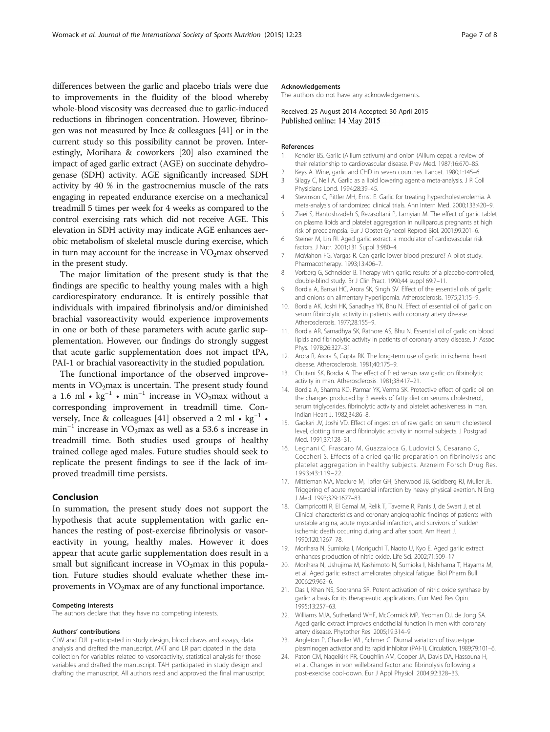<span id="page-6-0"></span>differences between the garlic and placebo trials were due to improvements in the fluidity of the blood whereby whole-blood viscosity was decreased due to garlic-induced reductions in fibrinogen concentration. However, fibrinogen was not measured by Ince & colleagues [[41](#page-7-0)] or in the current study so this possibility cannot be proven. Interestingly, Morihara & coworkers [20] also examined the impact of aged garlic extract (AGE) on succinate dehydrogenase (SDH) activity. AGE significantly increased SDH activity by 40 % in the gastrocnemius muscle of the rats engaging in repeated endurance exercise on a mechanical treadmill 5 times per week for 4 weeks as compared to the control exercising rats which did not receive AGE. This elevation in SDH activity may indicate AGE enhances aerobic metabolism of skeletal muscle during exercise, which in turn may account for the increase in  $VO<sub>2</sub>$ max observed in the present study.

The major limitation of the present study is that the findings are specific to healthy young males with a high cardiorespiratory endurance. It is entirely possible that individuals with impaired fibrinolysis and/or diminished brachial vasoreactivity would experience improvements in one or both of these parameters with acute garlic supplementation. However, our findings do strongly suggest that acute garlic supplementation does not impact tPA, PAI-1 or brachial vasoreactivity in the studied population.

The functional importance of the observed improvements in  $VO<sub>2</sub>max$  is uncertain. The present study found a 1.6 ml • kg<sup>-1</sup> • min<sup>-1</sup> increase in VO<sub>2</sub>max without a corresponding improvement in treadmill time. Con-versely, Ince & colleagues [\[41](#page-7-0)] observed a 2 ml  $\cdot$  kg<sup>-1</sup>  $\cdot$ min<sup>-1</sup> increase in VO<sub>2</sub>max as well as a 53.6 s increase in treadmill time. Both studies used groups of healthy trained college aged males. Future studies should seek to replicate the present findings to see if the lack of improved treadmill time persists.

# Conclusion

In summation, the present study does not support the hypothesis that acute supplementation with garlic enhances the resting of post-exercise fibrinolysis or vasoreactivity in young, healthy males. However it does appear that acute garlic supplementation does result in a small but significant increase in  $VO<sub>2</sub>$  max in this population. Future studies should evaluate whether these improvements in  $VO<sub>2</sub>max$  are of any functional importance.

#### Competing interests

The authors declare that they have no competing interests.

#### Authors' contributions

CJW and DJL participated in study design, blood draws and assays, data analysis and drafted the manuscript. MKT and LR participated in the data collection for variables related to vasoreactivity, statistical analysis for those variables and drafted the manuscript. TAH participated in study design and drafting the manuscript. All authors read and approved the final manuscript.

#### Acknowledgements

The authors do not have any acknowledgements.

Received: 25 August 2014 Accepted: 30 April 2015 Published online: 14 May 2015

#### References

- 1. Kendler BS. Garlic (Allium sativum) and onion (Allium cepa): a review of their relationship to cardiovascular disease. Prev Med. 1987;16:670–85.
- 2. Keys A. Wine, garlic and CHD in seven countries. Lancet. 1980;1:145–6.
- 3. Silagy C, Neil A. Garlic as a lipid lowering agent-a meta-analysis. J R Coll Physicians Lond. 1994;28:39–45.
- 4. Stevinson C, Pittler MH, Ernst E. Garlic for treating hypercholesterolemia. A meta-analysis of randomized clinical trials. Ann Intern Med. 2000;133:420–9.
- 5. Ziaei S, Hantoshzadeh S, Rezasoltani P, Lamyian M. The effect of garlic tablet on plasma lipids and platelet aggregation in nulliparous pregnants at high risk of preeclampsia. Eur J Obstet Gynecol Reprod Biol. 2001;99:201–6.
- 6. Steiner M, Lin RI. Aged garlic extract, a modulator of cardiovascular risk factors. J Nutr. 2001;131 Suppl 3:980–4.
- 7. McMahon FG, Vargas R. Can garlic lower blood pressure? A pilot study. Pharmacotherapy. 1993;13:406–7.
- 8. Vorberg G, Schneider B. Therapy with garlic: results of a placebo-controlled, double-blind study. Br J Clin Pract. 1990;44 suppl 69:7–11.
- 9. Bordia A, Bansai HC, Arora SK, Singh SV. Effect of the essential oils of garlic and onions on alimentary hyperlipemia. Atherosclerosis. 1975;21:15–9.
- 10. Bordia AK, Joshi HK, Sanadhya YK, Bhu N. Effect of essential oil of garlic on serum fibrinolytic activity in patients with coronary artery disease. Atherosclerosis. 1977;28:155–9.
- 11. Bordia AR, Samadhya SK, Rathore AS, Bhu N. Essential oil of garlic on blood lipids and fibrinolytic activity in patients of coronary artery disease. Jr Assoc Phys. 1978;26:327–31.
- 12. Arora R, Arora S, Gupta RK. The long-term use of garlic in ischemic heart disease. Atherosclerosis. 1981;40:175–9.
- 13. Chutani SK, Bordia A. The effect of fried versus raw garlic on fibrinolytic activity in man. Atherosclerosis. 1981;38:417–21.
- 14. Bordia A, Sharma KD, Parmar YK, Verma SK. Protective effect of garlic oil on the changes produced by 3 weeks of fatty diet on serums cholestrerol, serum triglycerides, fibrinolytic activity and platelet adhesiveness in man. Indian Heart J. 1982;34:86–8.
- 15. Gadkari JV, Joshi VD. Effect of ingestion of raw garlic on serum cholesterol level, clotting time and fibrinolytic activity in normal subjects. J Postgrad Med. 1991;37:128–31.
- 16. Legnani C, Frascaro M, Guazzaloca G, Ludovici S, Cesarano G, Coccheri S. Effects of a dried garlic preparation on fibrinolysis and platelet aggregation in healthy subjects. Arzneim Forsch Drug Res. 1993;43:119–22.
- 17. Mittleman MA, Maclure M, Tofler GH, Sherwood JB, Goldberg RJ, Muller JE. Triggering of acute myocardial infarction by heavy physical exertion. N Eng J Med. 1993;329:1677–83.
- 18. Ciampricotti R, El Gamal M, Relik T, Taverne R, Panis J, de Swart J, et al. Clinical characteristics and coronary angiographic findings of patients with unstable angina, acute myocardial infarction, and survivors of sudden ischemic death occurring during and after sport. Am Heart J. 1990;120:1267–78.
- 19. Morihara N, Sumioka I, Moriguchi T, Naoto U, Kyo E. Aged garlic extract enhances production of nitric oxide. Life Sci. 2002;71:509–17.
- 20. Morihara N, Ushujima M, Kashimoto N, Sumioka I, Nishihama T, Hayama M, et al. Aged garlic extract ameliorates physical fatigue. Biol Pharm Bull. 2006;29:962–6.
- 21. Das I, Khan NS, Sooranna SR. Potent activation of nitric oxide synthase by garlic: a basis for its therapeautic applications. Curr Med Res Opin. 1995;13:257–63.
- 22. Williams MJA, Sutherland WHF, McCormick MP, Yeoman DJ, de Jong SA. Aged garlic extract improves endothelial function in men with coronary artery disease. Phytother Res. 2005;19:314–9.
- 23. Angleton P, Chandler WL, Schmer G. Diurnal variation of tissue-type plasminogen activator and its rapid inhibitor (PAI-1). Circulation. 1989;79:101–6.
- 24. Paton CM, Nagelkirk PR, Coughlin AM, Cooper JA, Davis DA, Hassouna H, et al. Changes in von willebrand factor and fibrinolysis following a post-exercise cool-down. Eur J Appl Physiol. 2004;92:328–33.